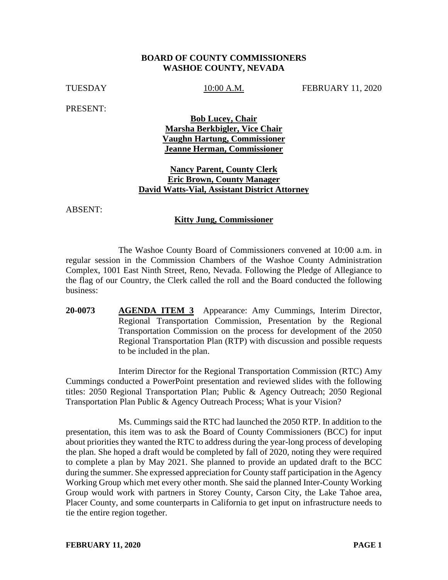## **BOARD OF COUNTY COMMISSIONERS WASHOE COUNTY, NEVADA**

TUESDAY 10:00 A.M. FEBRUARY 11, 2020

PRESENT:

**Bob Lucey, Chair Marsha Berkbigler, Vice Chair Vaughn Hartung, Commissioner Jeanne Herman, Commissioner** 

## **Nancy Parent, County Clerk Eric Brown, County Manager David Watts-Vial, Assistant District Attorney**

ABSENT:

#### **Kitty Jung, Commissioner**

The Washoe County Board of Commissioners convened at 10:00 a.m. in regular session in the Commission Chambers of the Washoe County Administration Complex, 1001 East Ninth Street, Reno, Nevada. Following the Pledge of Allegiance to the flag of our Country, the Clerk called the roll and the Board conducted the following business:

**20-0073 AGENDA ITEM 3** Appearance: Amy Cummings, Interim Director, Regional Transportation Commission, Presentation by the Regional Transportation Commission on the process for development of the 2050 Regional Transportation Plan (RTP) with discussion and possible requests to be included in the plan.

Interim Director for the Regional Transportation Commission (RTC) Amy Cummings conducted a PowerPoint presentation and reviewed slides with the following titles: 2050 Regional Transportation Plan; Public & Agency Outreach; 2050 Regional Transportation Plan Public & Agency Outreach Process; What is your Vision?

Ms. Cummings said the RTC had launched the 2050 RTP. In addition to the presentation, this item was to ask the Board of County Commissioners (BCC) for input about priorities they wanted the RTC to address during the year-long process of developing the plan. She hoped a draft would be completed by fall of 2020, noting they were required to complete a plan by May 2021. She planned to provide an updated draft to the BCC during the summer. She expressed appreciation for County staff participation in the Agency Working Group which met every other month. She said the planned Inter-County Working Group would work with partners in Storey County, Carson City, the Lake Tahoe area, Placer County, and some counterparts in California to get input on infrastructure needs to tie the entire region together.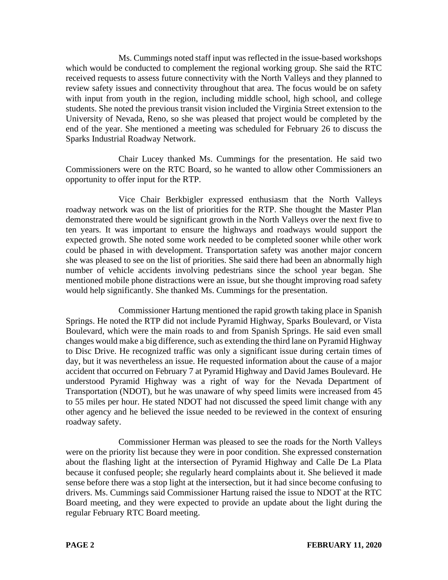Ms. Cummings noted staff input was reflected in the issue-based workshops which would be conducted to complement the regional working group. She said the RTC received requests to assess future connectivity with the North Valleys and they planned to review safety issues and connectivity throughout that area. The focus would be on safety with input from youth in the region, including middle school, high school, and college students. She noted the previous transit vision included the Virginia Street extension to the University of Nevada, Reno, so she was pleased that project would be completed by the end of the year. She mentioned a meeting was scheduled for February 26 to discuss the Sparks Industrial Roadway Network.

Chair Lucey thanked Ms. Cummings for the presentation. He said two Commissioners were on the RTC Board, so he wanted to allow other Commissioners an opportunity to offer input for the RTP.

Vice Chair Berkbigler expressed enthusiasm that the North Valleys roadway network was on the list of priorities for the RTP. She thought the Master Plan demonstrated there would be significant growth in the North Valleys over the next five to ten years. It was important to ensure the highways and roadways would support the expected growth. She noted some work needed to be completed sooner while other work could be phased in with development. Transportation safety was another major concern she was pleased to see on the list of priorities. She said there had been an abnormally high number of vehicle accidents involving pedestrians since the school year began. She mentioned mobile phone distractions were an issue, but she thought improving road safety would help significantly. She thanked Ms. Cummings for the presentation.

Commissioner Hartung mentioned the rapid growth taking place in Spanish Springs. He noted the RTP did not include Pyramid Highway, Sparks Boulevard, or Vista Boulevard, which were the main roads to and from Spanish Springs. He said even small changes would make a big difference, such as extending the third lane on Pyramid Highway to Disc Drive. He recognized traffic was only a significant issue during certain times of day, but it was nevertheless an issue. He requested information about the cause of a major accident that occurred on February 7 at Pyramid Highway and David James Boulevard. He understood Pyramid Highway was a right of way for the Nevada Department of Transportation (NDOT), but he was unaware of why speed limits were increased from 45 to 55 miles per hour. He stated NDOT had not discussed the speed limit change with any other agency and he believed the issue needed to be reviewed in the context of ensuring roadway safety.

Commissioner Herman was pleased to see the roads for the North Valleys were on the priority list because they were in poor condition. She expressed consternation about the flashing light at the intersection of Pyramid Highway and Calle De La Plata because it confused people; she regularly heard complaints about it. She believed it made sense before there was a stop light at the intersection, but it had since become confusing to drivers. Ms. Cummings said Commissioner Hartung raised the issue to NDOT at the RTC Board meeting, and they were expected to provide an update about the light during the regular February RTC Board meeting.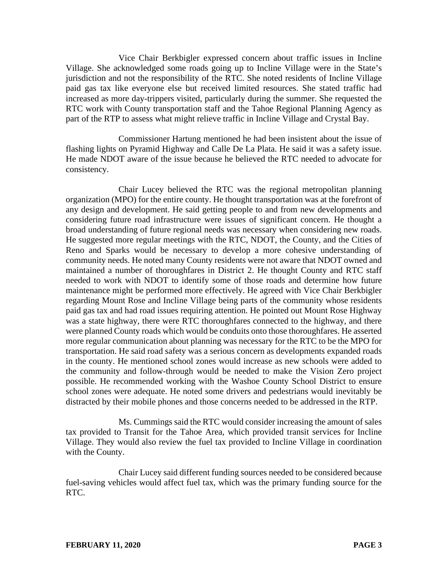Vice Chair Berkbigler expressed concern about traffic issues in Incline Village. She acknowledged some roads going up to Incline Village were in the State's jurisdiction and not the responsibility of the RTC. She noted residents of Incline Village paid gas tax like everyone else but received limited resources. She stated traffic had increased as more day-trippers visited, particularly during the summer. She requested the RTC work with County transportation staff and the Tahoe Regional Planning Agency as part of the RTP to assess what might relieve traffic in Incline Village and Crystal Bay.

Commissioner Hartung mentioned he had been insistent about the issue of flashing lights on Pyramid Highway and Calle De La Plata. He said it was a safety issue. He made NDOT aware of the issue because he believed the RTC needed to advocate for consistency.

Chair Lucey believed the RTC was the regional metropolitan planning organization (MPO) for the entire county. He thought transportation was at the forefront of any design and development. He said getting people to and from new developments and considering future road infrastructure were issues of significant concern. He thought a broad understanding of future regional needs was necessary when considering new roads. He suggested more regular meetings with the RTC, NDOT, the County, and the Cities of Reno and Sparks would be necessary to develop a more cohesive understanding of community needs. He noted many County residents were not aware that NDOT owned and maintained a number of thoroughfares in District 2. He thought County and RTC staff needed to work with NDOT to identify some of those roads and determine how future maintenance might be performed more effectively. He agreed with Vice Chair Berkbigler regarding Mount Rose and Incline Village being parts of the community whose residents paid gas tax and had road issues requiring attention. He pointed out Mount Rose Highway was a state highway, there were RTC thoroughfares connected to the highway, and there were planned County roads which would be conduits onto those thoroughfares. He asserted more regular communication about planning was necessary for the RTC to be the MPO for transportation. He said road safety was a serious concern as developments expanded roads in the county. He mentioned school zones would increase as new schools were added to the community and follow-through would be needed to make the Vision Zero project possible. He recommended working with the Washoe County School District to ensure school zones were adequate. He noted some drivers and pedestrians would inevitably be distracted by their mobile phones and those concerns needed to be addressed in the RTP.

Ms. Cummings said the RTC would consider increasing the amount of sales tax provided to Transit for the Tahoe Area, which provided transit services for Incline Village. They would also review the fuel tax provided to Incline Village in coordination with the County.

Chair Lucey said different funding sources needed to be considered because fuel-saving vehicles would affect fuel tax, which was the primary funding source for the RTC.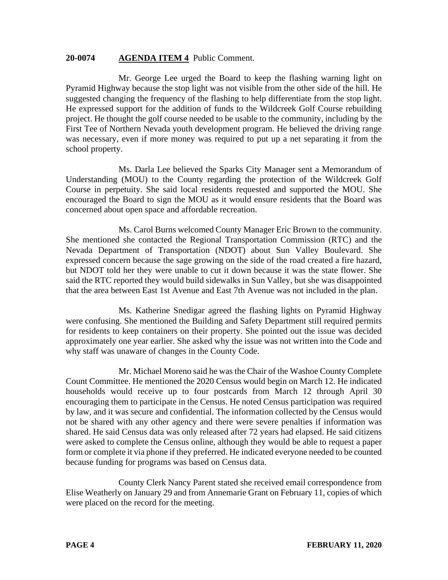## **20-0074 AGENDA ITEM 4** Public Comment.

Mr. George Lee urged the Board to keep the flashing warning light on Pyramid Highway because the stop light was not visible from the other side of the hill. He suggested changing the frequency of the flashing to help differentiate from the stop light. He expressed support for the addition of funds to the Wildcreek Golf Course rebuilding project. He thought the golf course needed to be usable to the community, including by the First Tee of Northern Nevada youth development program. He believed the driving range was necessary, even if more money was required to put up a net separating it from the school property.

Ms. Darla Lee believed the Sparks City Manager sent a Memorandum of Understanding (MOU) to the County regarding the protection of the Wildcreek Golf Course in perpetuity. She said local residents requested and supported the MOU. She encouraged the Board to sign the MOU as it would ensure residents that the Board was concerned about open space and affordable recreation.

Ms. Carol Burns welcomed County Manager Eric Brown to the community. She mentioned she contacted the Regional Transportation Commission (RTC) and the Nevada Department of Transportation (NDOT) about Sun Valley Boulevard. She expressed concern because the sage growing on the side of the road created a fire hazard, but NDOT told her they were unable to cut it down because it was the state flower. She said the RTC reported they would build sidewalks in Sun Valley, but she was disappointed that the area between East 1st Avenue and East 7th Avenue was not included in the plan.

Ms. Katherine Snedigar agreed the flashing lights on Pyramid Highway were confusing. She mentioned the Building and Safety Department still required permits for residents to keep containers on their property. She pointed out the issue was decided approximately one year earlier. She asked why the issue was not written into the Code and why staff was unaware of changes in the County Code.

Mr. Michael Moreno said he was the Chair of the Washoe County Complete Count Committee. He mentioned the 2020 Census would begin on March 12. He indicated households would receive up to four postcards from March 12 through April 30 encouraging them to participate in the Census. He noted Census participation was required by law, and it was secure and confidential. The information collected by the Census would not be shared with any other agency and there were severe penalties if information was shared. He said Census data was only released after 72 years had elapsed. He said citizens were asked to complete the Census online, although they would be able to request a paper form or complete it via phone if they preferred. He indicated everyone needed to be counted because funding for programs was based on Census data.

County Clerk Nancy Parent stated she received email correspondence from Elise Weatherly on January 29 and from Annemarie Grant on February 11, copies of which were placed on the record for the meeting.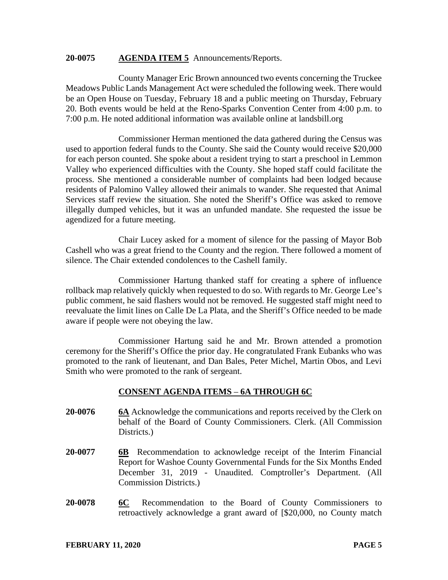#### **20-0075 AGENDA ITEM 5** Announcements/Reports.

County Manager Eric Brown announced two events concerning the Truckee Meadows Public Lands Management Act were scheduled the following week. There would be an Open House on Tuesday, February 18 and a public meeting on Thursday, February 20. Both events would be held at the Reno-Sparks Convention Center from 4:00 p.m. to 7:00 p.m. He noted additional information was available online at landsbill.org

Commissioner Herman mentioned the data gathered during the Census was used to apportion federal funds to the County. She said the County would receive \$20,000 for each person counted. She spoke about a resident trying to start a preschool in Lemmon Valley who experienced difficulties with the County. She hoped staff could facilitate the process. She mentioned a considerable number of complaints had been lodged because residents of Palomino Valley allowed their animals to wander. She requested that Animal Services staff review the situation. She noted the Sheriff's Office was asked to remove illegally dumped vehicles, but it was an unfunded mandate. She requested the issue be agendized for a future meeting.

Chair Lucey asked for a moment of silence for the passing of Mayor Bob Cashell who was a great friend to the County and the region. There followed a moment of silence. The Chair extended condolences to the Cashell family.

Commissioner Hartung thanked staff for creating a sphere of influence rollback map relatively quickly when requested to do so. With regards to Mr. George Lee's public comment, he said flashers would not be removed. He suggested staff might need to reevaluate the limit lines on Calle De La Plata, and the Sheriff's Office needed to be made aware if people were not obeying the law.

Commissioner Hartung said he and Mr. Brown attended a promotion ceremony for the Sheriff's Office the prior day. He congratulated Frank Eubanks who was promoted to the rank of lieutenant, and Dan Bales, Peter Michel, Martin Obos, and Levi Smith who were promoted to the rank of sergeant.

## **CONSENT AGENDA ITEMS** – **6A THROUGH 6C**

- **20-0076 6A** Acknowledge the communications and reports received by the Clerk on behalf of the Board of County Commissioners. Clerk. (All Commission Districts.)
- **20-0077 6B** Recommendation to acknowledge receipt of the Interim Financial Report for Washoe County Governmental Funds for the Six Months Ended December 31, 2019 - Unaudited. Comptroller's Department. (All Commission Districts.)
- **20-0078 6C** Recommendation to the Board of County Commissioners to retroactively acknowledge a grant award of [\$20,000, no County match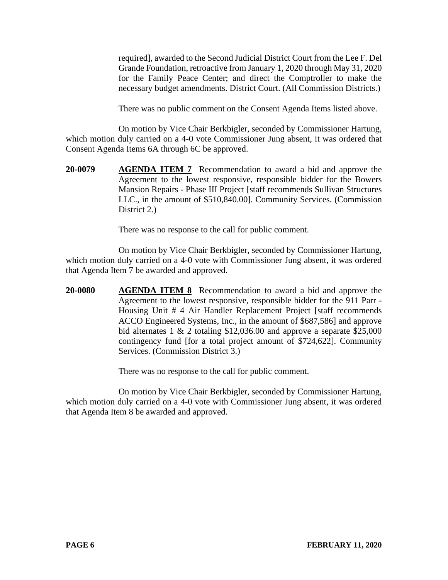required], awarded to the Second Judicial District Court from the Lee F. Del Grande Foundation, retroactive from January 1, 2020 through May 31, 2020 for the Family Peace Center; and direct the Comptroller to make the necessary budget amendments. District Court. (All Commission Districts.)

There was no public comment on the Consent Agenda Items listed above.

On motion by Vice Chair Berkbigler, seconded by Commissioner Hartung, which motion duly carried on a 4-0 vote Commissioner Jung absent, it was ordered that Consent Agenda Items 6A through 6C be approved.

**20-0079 AGENDA ITEM 7** Recommendation to award a bid and approve the Agreement to the lowest responsive, responsible bidder for the Bowers Mansion Repairs - Phase III Project [staff recommends Sullivan Structures LLC., in the amount of \$510,840.00]. Community Services. (Commission District 2.)

There was no response to the call for public comment.

On motion by Vice Chair Berkbigler, seconded by Commissioner Hartung, which motion duly carried on a 4-0 vote with Commissioner Jung absent, it was ordered that Agenda Item 7 be awarded and approved.

**20-0080 AGENDA ITEM 8** Recommendation to award a bid and approve the Agreement to the lowest responsive, responsible bidder for the 911 Parr - Housing Unit # 4 Air Handler Replacement Project [staff recommends ACCO Engineered Systems, Inc., in the amount of \$687,586] and approve bid alternates  $1 \& 2$  totaling \$12,036.00 and approve a separate \$25,000 contingency fund [for a total project amount of \$724,622]. Community Services. (Commission District 3.)

There was no response to the call for public comment.

On motion by Vice Chair Berkbigler, seconded by Commissioner Hartung, which motion duly carried on a 4-0 vote with Commissioner Jung absent, it was ordered that Agenda Item 8 be awarded and approved.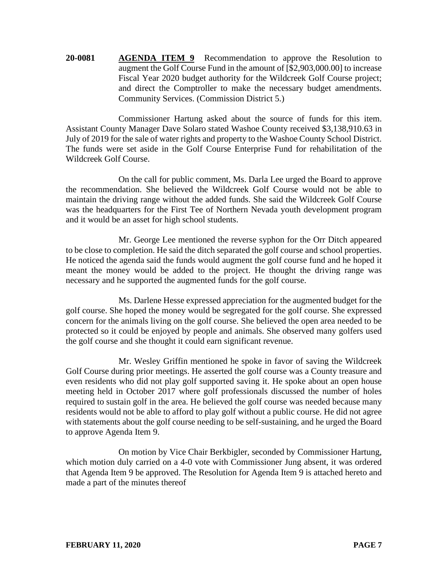**20-0081 AGENDA ITEM 9** Recommendation to approve the Resolution to augment the Golf Course Fund in the amount of [\$2,903,000.00] to increase Fiscal Year 2020 budget authority for the Wildcreek Golf Course project; and direct the Comptroller to make the necessary budget amendments. Community Services. (Commission District 5.)

Commissioner Hartung asked about the source of funds for this item. Assistant County Manager Dave Solaro stated Washoe County received \$3,138,910.63 in July of 2019 for the sale of water rights and property to the Washoe County School District. The funds were set aside in the Golf Course Enterprise Fund for rehabilitation of the Wildcreek Golf Course.

On the call for public comment, Ms. Darla Lee urged the Board to approve the recommendation. She believed the Wildcreek Golf Course would not be able to maintain the driving range without the added funds. She said the Wildcreek Golf Course was the headquarters for the First Tee of Northern Nevada youth development program and it would be an asset for high school students.

Mr. George Lee mentioned the reverse syphon for the Orr Ditch appeared to be close to completion. He said the ditch separated the golf course and school properties. He noticed the agenda said the funds would augment the golf course fund and he hoped it meant the money would be added to the project. He thought the driving range was necessary and he supported the augmented funds for the golf course.

Ms. Darlene Hesse expressed appreciation for the augmented budget for the golf course. She hoped the money would be segregated for the golf course. She expressed concern for the animals living on the golf course. She believed the open area needed to be protected so it could be enjoyed by people and animals. She observed many golfers used the golf course and she thought it could earn significant revenue.

Mr. Wesley Griffin mentioned he spoke in favor of saving the Wildcreek Golf Course during prior meetings. He asserted the golf course was a County treasure and even residents who did not play golf supported saving it. He spoke about an open house meeting held in October 2017 where golf professionals discussed the number of holes required to sustain golf in the area. He believed the golf course was needed because many residents would not be able to afford to play golf without a public course. He did not agree with statements about the golf course needing to be self-sustaining, and he urged the Board to approve Agenda Item 9.

On motion by Vice Chair Berkbigler, seconded by Commissioner Hartung, which motion duly carried on a 4-0 vote with Commissioner Jung absent, it was ordered that Agenda Item 9 be approved. The Resolution for Agenda Item 9 is attached hereto and made a part of the minutes thereof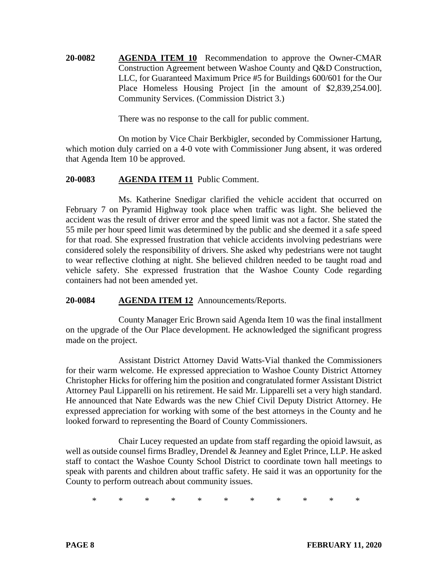**20-0082 AGENDA ITEM 10** Recommendation to approve the Owner-CMAR Construction Agreement between Washoe County and Q&D Construction, LLC, for Guaranteed Maximum Price #5 for Buildings 600/601 for the Our Place Homeless Housing Project [in the amount of \$2,839,254.00]. Community Services. (Commission District 3.)

There was no response to the call for public comment.

On motion by Vice Chair Berkbigler, seconded by Commissioner Hartung, which motion duly carried on a 4-0 vote with Commissioner Jung absent, it was ordered that Agenda Item 10 be approved.

# **20-0083 AGENDA ITEM 11** Public Comment.

Ms. Katherine Snedigar clarified the vehicle accident that occurred on February 7 on Pyramid Highway took place when traffic was light. She believed the accident was the result of driver error and the speed limit was not a factor. She stated the 55 mile per hour speed limit was determined by the public and she deemed it a safe speed for that road. She expressed frustration that vehicle accidents involving pedestrians were considered solely the responsibility of drivers. She asked why pedestrians were not taught to wear reflective clothing at night. She believed children needed to be taught road and vehicle safety. She expressed frustration that the Washoe County Code regarding containers had not been amended yet.

**20-0084 AGENDA ITEM 12** Announcements/Reports.

County Manager Eric Brown said Agenda Item 10 was the final installment on the upgrade of the Our Place development. He acknowledged the significant progress made on the project.

Assistant District Attorney David Watts-Vial thanked the Commissioners for their warm welcome. He expressed appreciation to Washoe County District Attorney Christopher Hicks for offering him the position and congratulated former Assistant District Attorney Paul Lipparelli on his retirement. He said Mr. Lipparelli set a very high standard. He announced that Nate Edwards was the new Chief Civil Deputy District Attorney. He expressed appreciation for working with some of the best attorneys in the County and he looked forward to representing the Board of County Commissioners.

Chair Lucey requested an update from staff regarding the opioid lawsuit, as well as outside counsel firms Bradley, Drendel & Jeanney and Eglet Prince, LLP. He asked staff to contact the Washoe County School District to coordinate town hall meetings to speak with parents and children about traffic safety. He said it was an opportunity for the County to perform outreach about community issues.

\* \* \* \* \* \* \* \* \* \* \*